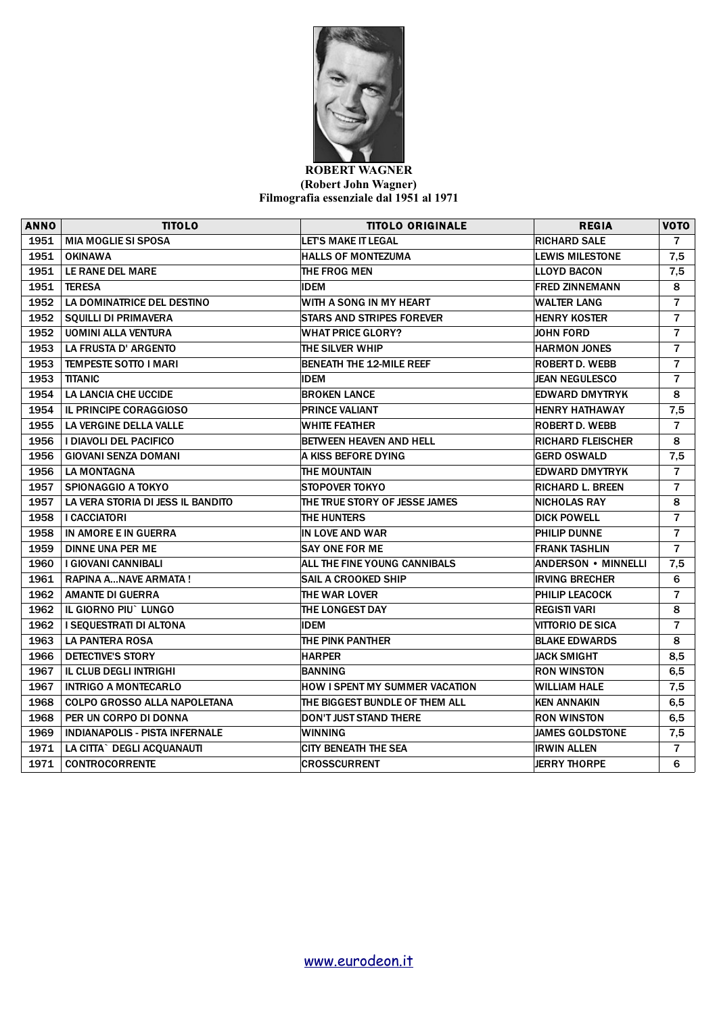

## **ROBERT WAGNER (Robert John Wagner) Filmografia essenziale dal 1951 al 1971**

| <b>ANNO</b> | <b>TITOLO</b>                         | <b>TITOLO ORIGINALE</b>             | <b>REGIA</b>             | <b>VOTO</b>    |
|-------------|---------------------------------------|-------------------------------------|--------------------------|----------------|
| 1951        | <b>MIA MOGLIE SI SPOSA</b>            | <b>LET'S MAKE IT LEGAL</b>          | <b>RICHARD SALE</b>      | 7              |
| 1951        | <b>OKINAWA</b>                        | <b>HALLS OF MONTEZUMA</b>           | <b>LEWIS MILESTONE</b>   | 7,5            |
| 1951        | LE RANE DEL MARE                      | THE FROG MEN                        | <b>LLOYD BACON</b>       | 7,5            |
| 1951        | <b>TERESA</b>                         | <b>IDEM</b>                         | <b>FRED ZINNEMANN</b>    | 8              |
| 1952        | LA DOMINATRICE DEL DESTINO            | WITH A SONG IN MY HEART             | <b>WALTER LANG</b>       | $\overline{7}$ |
| 1952        | <b>SQUILLI DI PRIMAVERA</b>           | <b>STARS AND STRIPES FOREVER</b>    | <b>HENRY KOSTER</b>      | $\overline{7}$ |
| 1952        | <b>UOMINI ALLA VENTURA</b>            | <b>WHAT PRICE GLORY?</b>            | <b>JOHN FORD</b>         | $\overline{7}$ |
| 1953        | LA FRUSTA D'ARGENTO                   | THE SILVER WHIP                     | <b>HARMON JONES</b>      | $\overline{7}$ |
| 1953        | <b>TEMPESTE SOTTO I MARI</b>          | BENEATH THE 12-MILE REEF            | <b>ROBERT D. WEBB</b>    | $\overline{7}$ |
| 1953        | <b>TITANIC</b>                        | <b>IDEM</b>                         | <b>JEAN NEGULESCO</b>    | $\overline{7}$ |
| 1954        | LA LANCIA CHE UCCIDE                  | <b>BROKEN LANCE</b>                 | <b>EDWARD DMYTRYK</b>    | 8              |
| 1954        | <b>IL PRINCIPE CORAGGIOSO</b>         | <b>PRINCE VALIANT</b>               | <b>HENRY HATHAWAY</b>    | 7,5            |
| 1955        | LA VERGINE DELLA VALLE                | <b>WHITE FEATHER</b>                | <b>ROBERT D. WEBB</b>    | $\overline{7}$ |
| 1956        | I DIAVOLI DEL PACIFICO                | BETWEEN HEAVEN AND HELL             | <b>RICHARD FLEISCHER</b> | 8              |
| 1956        | <b>GIOVANI SENZA DOMANI</b>           | A KISS BEFORE DYING                 | <b>GERD OSWALD</b>       | 7,5            |
| 1956        | <b>LA MONTAGNA</b>                    | THE MOUNTAIN                        | <b>EDWARD DMYTRYK</b>    | $\overline{7}$ |
| 1957        | <b>SPIONAGGIO A TOKYO</b>             | <b>STOPOVER TOKYO</b>               | <b>RICHARD L. BREEN</b>  | $\overline{7}$ |
| 1957        | LA VERA STORIA DI JESS IL BANDITO     | THE TRUE STORY OF JESSE JAMES       | <b>INICHOLAS RAY</b>     | 8              |
| 1958        | <b>I CACCIATORI</b>                   | THE HUNTERS                         | <b>DICK POWELL</b>       | $\overline{7}$ |
| 1958        | IN AMORE E IN GUERRA                  | IN LOVE AND WAR                     | <b>PHILIP DUNNE</b>      | $\overline{7}$ |
| 1959        | <b>DINNE UNA PER ME</b>               | <b>SAY ONE FOR ME</b>               | <b>FRANK TASHLIN</b>     | $\overline{7}$ |
| 1960        | I GIOVANI CANNIBALI                   | <b>ALL THE FINE YOUNG CANNIBALS</b> | ANDERSON • MINNELLI      | 7,5            |
| 1961        | RAPINA ANAVE ARMATA!                  | <b>SAIL A CROOKED SHIP</b>          | IRVING BRECHER           | 6              |
| 1962        | <b>AMANTE DI GUERRA</b>               | THE WAR LOVER                       | <b>PHILIP LEACOCK</b>    | $\overline{7}$ |
| 1962        | IL GIORNO PIU` LUNGO                  | THE LONGEST DAY                     | <b>REGISTI VARI</b>      | 8              |
| 1962        | I SEQUESTRATI DI ALTONA               | <b>IDEM</b>                         | <b>VITTORIO DE SICA</b>  | 7              |
| 1963        | <b>LA PANTERA ROSA</b>                | THE PINK PANTHER                    | <b>BLAKE EDWARDS</b>     | 8              |
| 1966        | <b>DETECTIVE'S STORY</b>              | <b>HARPER</b>                       | JACK SMIGHT              | 8,5            |
| 1967        | <b>IL CLUB DEGLI INTRIGHI</b>         | <b>BANNING</b>                      | <b>RON WINSTON</b>       | 6,5            |
| 1967        | <b>INTRIGO A MONTECARLO</b>           | HOW I SPENT MY SUMMER VACATION      | <b>WILLIAM HALE</b>      | 7,5            |
| 1968        | COLPO GROSSO ALLA NAPOLETANA          | THE BIGGEST BUNDLE OF THEM ALL      | KEN ANNAKIN              | 6, 5           |
| 1968        | PER UN CORPO DI DONNA                 | <b>DON'T JUST STAND THERE</b>       | <b>RON WINSTON</b>       | 6,5            |
| 1969        | <b>INDIANAPOLIS - PISTA INFERNALE</b> | <b>WINNING</b>                      | <b>JAMES GOLDSTONE</b>   | 7,5            |
| 1971        | LA CITTA` DEGLI ACQUANAUTI            | CITY BENEATH THE SEA                | <b>IRWIN ALLEN</b>       | $\overline{7}$ |
| 1971        | <b>CONTROCORRENTE</b>                 | <b>CROSSCURRENT</b>                 | <b>JERRY THORPE</b>      | 6              |